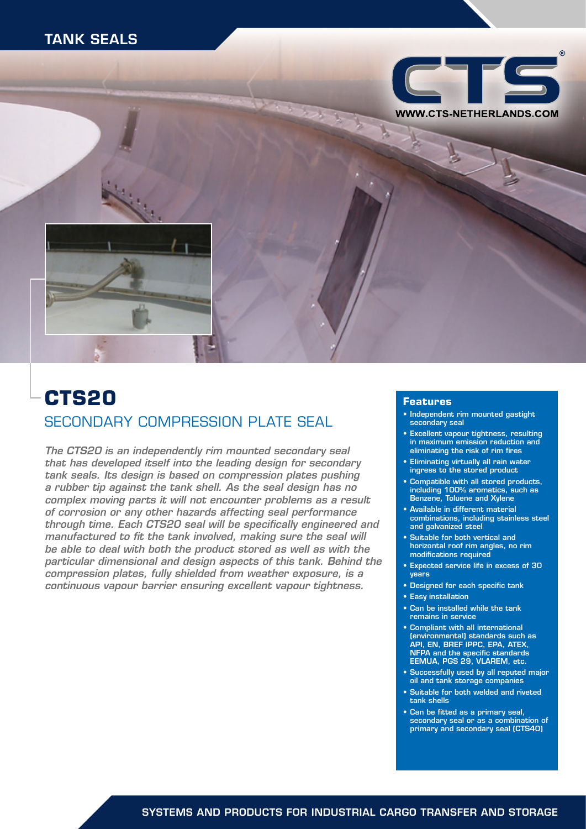# TANK SEALS





# **CTS20** SECONDARY COMPRESSION PLATE SEAL

*The CTS20 is an independently rim mounted secondary seal that has developed itself into the leading design for secondary tank seals. Its design is based on compression plates pushing a rubber tip against the tank shell. As the seal design has no complex moving parts it will not encounter problems as a result of corrosion or any other hazards affecting seal performance through time. Each CTS20 seal will be specifically engineered and manufactured to fit the tank involved, making sure the seal will be able to deal with both the product stored as well as with the particular dimensional and design aspects of this tank. Behind the compression plates, fully shielded from weather exposure, is a continuous vapour barrier ensuring excellent vapour tightness.*

#### **Features**

- Independent rim mounted gastight secondary seal
- Excellent vapour tightness, resulting in maximum emission reduction and eliminating the risk of rim fires
- Eliminating virtually all rain water ingress to the stored product
- Compatible with all stored products, including 100% aromatics, such as Benzene, Toluene and Xylene
- Available in different material combinations, including stainless steel and galvanized steel
- Suitable for both vertical and horizontal roof rim angles, no rim modifications required
- Expected service life in excess of 30 years
- Designed for each specific tank
- Easy installation
- Can be installed while the tank remains in service
- Compliant with all international (environmental) standards such as API, EN, BREF IPPC, EPA, ATEX, NFPA and the specific standards EEMUA, PGS 29, VLAREM, etc.
- Successfully used by all reputed major oil and tank storage companies
- Suitable for both welded and riveted tank shells
- Can be fitted as a primary seal, secondary seal or as a combination of primary and secondary seal (CTS40)